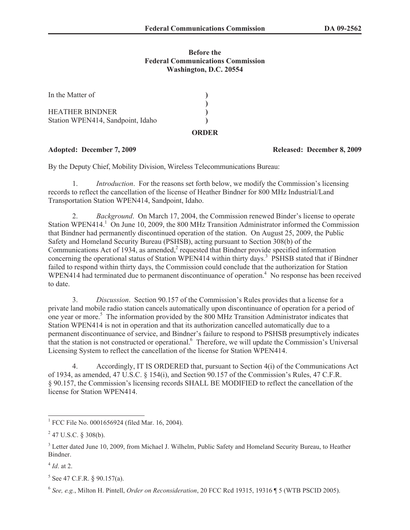## **Before the Federal Communications Commission Washington, D.C. 20554**

| In the Matter of                  |  |
|-----------------------------------|--|
| HEATHER BINDNER                   |  |
| Station WPEN414, Sandpoint, Idaho |  |

### **ORDER**

By the Deputy Chief, Mobility Division, Wireless Telecommunications Bureau:

1. *Introduction*. For the reasons set forth below, we modify the Commission's licensing records to reflect the cancellation of the license of Heather Bindner for 800 MHz Industrial/Land Transportation Station WPEN414, Sandpoint, Idaho.

2. *Background*. On March 17, 2004, the Commission renewed Binder's license to operate Station WPEN414.<sup>1</sup> On June 10, 2009, the 800 MHz Transition Administrator informed the Commission that Bindner had permanently discontinued operation of the station. On August 25, 2009, the Public Safety and Homeland Security Bureau (PSHSB), acting pursuant to Section 308(b) of the Communications Act of 1934, as amended, $<sup>2</sup>$  requested that Bindner provide specified information</sup> concerning the operational status of Station WPEN414 within thirty days.<sup>3</sup> PSHSB stated that if Bindner failed to respond within thirty days, the Commission could conclude that the authorization for Station WPEN414 had terminated due to permanent discontinuance of operation.<sup>4</sup> No response has been received to date.

3. *Discussion*. Section 90.157 of the Commission's Rules provides that a license for a private land mobile radio station cancels automatically upon discontinuance of operation for a period of one year or more.<sup>5</sup> The information provided by the 800 MHz Transition Administrator indicates that Station WPEN414 is not in operation and that its authorization cancelled automatically due to a permanent discontinuance of service, and Bindner's failure to respond to PSHSB presumptively indicates that the station is not constructed or operational.<sup>6</sup> Therefore, we will update the Commission's Universal Licensing System to reflect the cancellation of the license for Station WPEN414.

4. Accordingly, IT IS ORDERED that, pursuant to Section 4(i) of the Communications Act of 1934, as amended, 47 U.S.C. § 154(i), and Section 90.157 of the Commission's Rules, 47 C.F.R. § 90.157, the Commission's licensing records SHALL BE MODIFIED to reflect the cancellation of the license for Station WPEN414.

4 *Id*. at 2.

### **Adopted: December 7, 2009 Released: December 8, 2009**

<sup>&</sup>lt;sup>1</sup> FCC File No. 0001656924 (filed Mar. 16, 2004).

 $2$  47 U.S.C. § 308(b).

<sup>&</sup>lt;sup>3</sup> Letter dated June 10, 2009, from Michael J. Wilhelm, Public Safety and Homeland Security Bureau, to Heather Bindner.

 $5$  See 47 C.F.R. § 90.157(a).

<sup>6</sup> *See, e.g.*, Milton H. Pintell, *Order on Reconsideration*, 20 FCC Rcd 19315, 19316 ¶ 5 (WTB PSCID 2005).